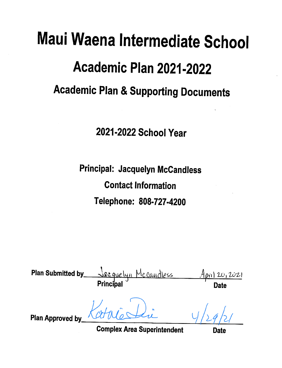# Maui Waena Intermediate School Academic Plan 2021-2022 **Academic Plan & Supporting Documents**

2021-2022 School Year

Principal: Jacquelyn McCandless **Contact Information** Telephone: 808-727-4200

Plan Submitted by\_ <u>eguelun Mccaudless</u>  $120,2021$ Principa Date **Plan Approved by Complex Area Superintendent** Date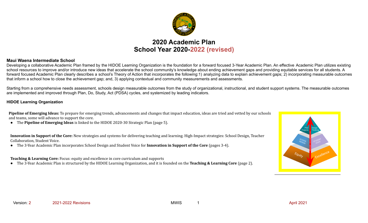

# **2020 Academic Plan School Year 2020-2022 (revised)**

## **Maui Waena Intermediate School**

Developing a collaborative Academic Plan framed by the HIDOE Learning Organization is the foundation for a forward focused 3-Year Academic Plan. An effective Academic Plan utilizes existing school resources to improve and/or introduce new ideas that accelerate the school community's knowledge about ending achievement gaps and providing equitable services for all students. A forward focused Academic Plan clearly describes a school's Theory of Action that incorporates the following:1) analyzing data to explain achievement gaps; 2) incorporating measurable outcomes that inform a school how to close the achievement gap; and, 3) applying contextual and community measurements and assessments.

Starting from a comprehensive needs assessment, schools design measurable outcomes from the study of organizational, instructional, and student support systems. The measurable outcomes are implemented and improved through Plan, Do, Study, Act (PDSA) cycles, and systemized by leading indicators.

## **HIDOE Learning Organization**

**Pipeline of Emerging Ideas:** To prepare for emerging trends, advancements and changes that impact education, ideas are tried and vetted by our schools and teams, some will advance to support the core.

● The **Pipeline of Emerging Ideas** is linked to the HIDOE 2020-30 Strategic Plan (page 5).

**Innovation in Support of the Core:** New strategies and systems for delivering teaching and learning. High-Impact strategies: School Design, Teacher Collaboration, Student Voice.

● The 3-Year Academic Plan incorporates School Design and Student Voice for **Innovation in Support of the Core** (pages 3-4).

**Teaching & Learning Core:** Focus: equity and excellence in core curriculum and supports

● The 3-Year Academic Plan is structured by the HIDOE Learning Organization, and it is founded on the **Teaching & Learning Core** (page 2).

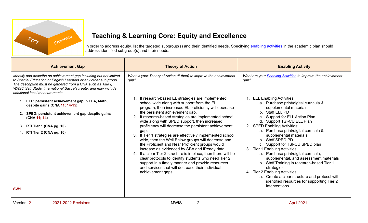

# **Teaching & Learning Core: Equity and Excellence**

In order to address equity, list the targeted subgroup(s) and their identified needs. Specifying enabling [activities](https://docs.google.com/document/d/1_CBCCCUPTqpr2sEeh1fQ9EUVupyhBBZlYUdzcm9zCw0) in the academic plan should address identified subgroup(s) and their needs.

| <b>Achievement Gap</b>                                                                                                                                                                                                                                                                                                                                                                                                                                                                                                                          | <b>Theory of Action</b>                                                                                                                                                                                                                                                                                                                                                                                                                                                                                                                                                                                                                                                                                                                                                                                                                                                                                                             | <b>Enabling Activity</b>                                                                                                                                                                                                                                                                                                                                                                                                                                                                                                                                                                                                                                                                                                                                           |
|-------------------------------------------------------------------------------------------------------------------------------------------------------------------------------------------------------------------------------------------------------------------------------------------------------------------------------------------------------------------------------------------------------------------------------------------------------------------------------------------------------------------------------------------------|-------------------------------------------------------------------------------------------------------------------------------------------------------------------------------------------------------------------------------------------------------------------------------------------------------------------------------------------------------------------------------------------------------------------------------------------------------------------------------------------------------------------------------------------------------------------------------------------------------------------------------------------------------------------------------------------------------------------------------------------------------------------------------------------------------------------------------------------------------------------------------------------------------------------------------------|--------------------------------------------------------------------------------------------------------------------------------------------------------------------------------------------------------------------------------------------------------------------------------------------------------------------------------------------------------------------------------------------------------------------------------------------------------------------------------------------------------------------------------------------------------------------------------------------------------------------------------------------------------------------------------------------------------------------------------------------------------------------|
| Identify and describe an achievement gap including but not limited<br>to Special Education or English Learners or any other sub group.<br>The description must be gathered from a CNA such as Title I,<br>WASC Self Study, International Baccalaureate, and may include<br>additional local measurements.<br>1. ELL: persistent achievement gap in ELA, Math,<br>despite gains (CNA 11; 14-15)<br>SPED: persistent achievement gap despite gains<br>(CNA 11; 14)<br>RTI Tier 1 (CNA pg. 10)<br>3.<br>RTI Tier 2 (CNA pg. 10)<br>SW <sub>1</sub> | What is your Theory of Action (if-then) to improve the achievement<br>gap?<br>1. If research-based EL strategies are implemented<br>school wide along with support from the ELL<br>program, then increased EL proficiency will decrease<br>the persistent achievement gap.<br>2. If research-based strategies are implemented school<br>wide along with SPED support, then increased<br>proficiency will decrease the persistent achievement<br>gap.<br>3. If Tier 1 strategies are effectively implemented school<br>wide, then the Well Below groups will decrease and<br>the Proficient and Near Proficient groups would<br>increase as evidenced by SBA and iReady data.<br>4. If a clear Tier 2 structure is in place, then there will be<br>clear protocols to identify students who need Tier 2<br>support in a timely manner and provide resources<br>and services that will decrease their individual<br>achievement gaps. | What are your <b>Enabling Activities</b> to improve the achievement<br>gap?<br><b>ELL Enabling Activities:</b><br>a. Purchase print/digital curricula &<br>supplemental materials<br>b. Staff ELL PD<br>Support for ELL Action Plan<br>d. Support TSI-CU ELL Plan<br>2. SPED Enabling Activities:<br>a. Purchase print/digital curricula &<br>supplemental materials<br>Staff SPED PD<br>h.<br>c. Support for TSI-CU SPED plan<br>3. Tier 1 Enabling Activities:<br>a. Purchase print/digital curricula,<br>supplemental, and assessment materials<br>b. Staff Training in research-based Tier 1<br>strategies.<br>4. Tier 2 Enabling Activities:<br>a. Create a clear structure and protocol with<br>identified resources for supporting Tier 2<br>interventions. |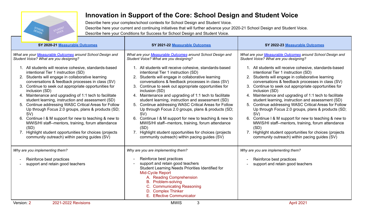

# **Innovation in Support of the Core: School Design and Student Voice**

Describe here your complex/school contexts for School Design and Student Voice. Describe here your current and continuing initiatives that will further advance your 2020-21 School Design and Student Voice. Describe here your Conditions for Success for School Design and Student Voice.

| SY 2020-21 Measurable Outcomes                                                                                                                                                                                                                                                                                                                                                                                                                                                                                                                                                                                                                                                                                                                           | SY 2021-22 Measurable Outcomes                                                                                                                                                                                                                                                                                                                                                                                                                                                                                                                                                                                                                                                                                                                              | SY 2022-23 Measurable Outcomes                                                                                                                                                                                                                                                                                                                                                                                                                                                                                                                                                                                                                                                                                                                              |
|----------------------------------------------------------------------------------------------------------------------------------------------------------------------------------------------------------------------------------------------------------------------------------------------------------------------------------------------------------------------------------------------------------------------------------------------------------------------------------------------------------------------------------------------------------------------------------------------------------------------------------------------------------------------------------------------------------------------------------------------------------|-------------------------------------------------------------------------------------------------------------------------------------------------------------------------------------------------------------------------------------------------------------------------------------------------------------------------------------------------------------------------------------------------------------------------------------------------------------------------------------------------------------------------------------------------------------------------------------------------------------------------------------------------------------------------------------------------------------------------------------------------------------|-------------------------------------------------------------------------------------------------------------------------------------------------------------------------------------------------------------------------------------------------------------------------------------------------------------------------------------------------------------------------------------------------------------------------------------------------------------------------------------------------------------------------------------------------------------------------------------------------------------------------------------------------------------------------------------------------------------------------------------------------------------|
| What are your Measurable Outcomes around School Design and<br>Student Voice? What are you designing?                                                                                                                                                                                                                                                                                                                                                                                                                                                                                                                                                                                                                                                     | What are your Measurable Outcomes around School Design and<br>Student Voice? What are you designing?                                                                                                                                                                                                                                                                                                                                                                                                                                                                                                                                                                                                                                                        | What are your Measurable Outcomes around School Design and<br>Student Voice? What are you designing?                                                                                                                                                                                                                                                                                                                                                                                                                                                                                                                                                                                                                                                        |
| 1. All students will receive cohesive, standards-based<br>intentional Tier 1 instruction (SD)<br>2. Students will engage in collaborative learning<br>conversations & feedback processes in class (SV)<br>Continue to seek out appropriate opportunities for<br>inclusion (SD)<br>4. Maintenance and upgrading of 1:1 tech to facilitate<br>student learning, instruction and assessment (SD)<br>5. Continue addressing WASC Critical Areas for Follow<br>Up through Focus 2.0 groups, plans & products (SD;<br>SV)<br>6. Continue I & M support for new to teaching & new to<br>MWIS/HI staff--mentors, training, forum attendance<br>(SD)<br>7. Highlight student opportunities for choices (projects<br>community outreach) within pacing guides (SV) | 1. All students will receive cohesive, standards-based<br>intentional Tier 1 instruction (SD)<br>2. Students will engage in collaborative learning<br>conversations & feedback processes in class (SV)<br>3. Continue to seek out appropriate opportunities for<br>inclusion (SD)<br>4. Maintenance and upgrading of 1:1 tech to facilitate<br>student learning, instruction and assessment (SD)<br>5. Continue addressing WASC Critical Areas for Follow<br>Up through Focus 2.0 groups, plans & products (SD;<br>SV)<br>6. Continue I & M support for new to teaching & new to<br>MWIS/HI staff--mentors, training, forum attendance<br>(SD)<br>7. Highlight student opportunities for choices (projects<br>community outreach) within pacing guides (SV) | 1. All students will receive cohesive, standards-based<br>intentional Tier 1 instruction (SD)<br>2. Students will engage in collaborative learning<br>conversations & feedback processes in class (SV)<br>3. Continue to seek out appropriate opportunities for<br>inclusion (SD)<br>4. Maintenance and upgrading of 1:1 tech to facilitate<br>student learning, instruction and assessment (SD)<br>5. Continue addressing WASC Critical Areas for Follow<br>Up through Focus 2.0 groups, plans & products (SD;<br>SV)<br>6. Continue I & M support for new to teaching & new to<br>MWIS/HI staff--mentors, training, forum attendance<br>(SD)<br>7. Highlight student opportunities for choices (projects<br>community outreach) within pacing guides (SV) |
| Why are you implementing them?                                                                                                                                                                                                                                                                                                                                                                                                                                                                                                                                                                                                                                                                                                                           | Why are you are implementing them?                                                                                                                                                                                                                                                                                                                                                                                                                                                                                                                                                                                                                                                                                                                          | Why are you are implementing them?                                                                                                                                                                                                                                                                                                                                                                                                                                                                                                                                                                                                                                                                                                                          |
| Reinforce best practices<br>support and retain good teachers                                                                                                                                                                                                                                                                                                                                                                                                                                                                                                                                                                                                                                                                                             | Reinforce best practices<br>support and retain good teachers<br>$\overline{\phantom{a}}$<br>Student Learning Needs Priorities Identified for<br>Mid-Cycle Report<br>A. Reading Comprehension<br>Problem-solving<br>В.<br><b>Communicating Reasoning</b><br><b>Complex Thinker</b><br>D.<br>F.<br><b>Effective Communicator</b>                                                                                                                                                                                                                                                                                                                                                                                                                              | Reinforce best practices<br>support and retain good teachers                                                                                                                                                                                                                                                                                                                                                                                                                                                                                                                                                                                                                                                                                                |
| 2021-2022 Revisions<br>Version: 2                                                                                                                                                                                                                                                                                                                                                                                                                                                                                                                                                                                                                                                                                                                        | 3<br><b>MWIS</b>                                                                                                                                                                                                                                                                                                                                                                                                                                                                                                                                                                                                                                                                                                                                            | April 2021                                                                                                                                                                                                                                                                                                                                                                                                                                                                                                                                                                                                                                                                                                                                                  |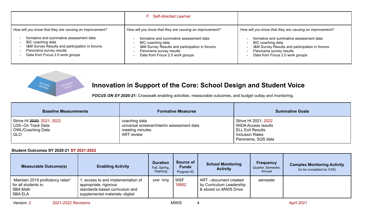|                                                                                                                                                                              | F. Self-directed Learner                                                                                                                                                     |                                                                                                                                                                              |
|------------------------------------------------------------------------------------------------------------------------------------------------------------------------------|------------------------------------------------------------------------------------------------------------------------------------------------------------------------------|------------------------------------------------------------------------------------------------------------------------------------------------------------------------------|
| How will you know that they are causing an improvement?                                                                                                                      | How will you know that they are causing an improvement?                                                                                                                      | How will you know that they are causing an improvement?                                                                                                                      |
| formative and summative assessment data<br>BIC coaching data<br>I&M Survey Results and participation in forums<br>Panorama survey results<br>Data from Focus 2.0 work groups | formative and summative assessment data<br>BIC coaching data<br>I&M Survey Results and participation in forums<br>Panorama survey results<br>Data from Focus 2.0 work groups | formative and summative assessment data<br>BIC coaching data<br>I&M Survey Results and participation in forums<br>Panorama survey results<br>Data from Focus 2.0 work groups |



# **Innovation in Support of the Core: School Design and Student Voice**

*FOCUS ON SY 2020-21:* Crosswalk enabling activities, measurable outcomes, and budget outlay and monitoring.

| <b>Baseline Measurements</b>                                                     | <b>Formative Measures</b>                                                                           | <b>Summative Goals</b>                                                                                                 |
|----------------------------------------------------------------------------------|-----------------------------------------------------------------------------------------------------|------------------------------------------------------------------------------------------------------------------------|
| Strive HI 2020; 2021; 2022<br>LDS--On Track Data<br>  OWL/Coaching Data<br>l GLO | coaching data<br>universal screener/interim assessment data<br>meeting minutes<br><b>ART</b> review | Strive HI 2021; 2022<br>WIDA Access results<br><b>ELL Exit Results</b><br><b>Inclusion Rates</b><br>Panorama, SQS data |

## **Student Outcomes SY 2020-21 SY 2021-2022**

| <b>Measurable Outcome(s)</b>                                                      | <b>Enabling Activity</b>                                                                                                        | <b>Duration</b><br>Fall, Spring,<br>Yearlong | Source of<br><b>Funds</b><br>Program ID | <b>School Monitoring</b><br><b>Activity</b>                                 | <b>Frequency</b><br>Quarter, Semester,<br>Annual | <b>Complex Monitoring Activity</b><br>(to be completed by CAS) |
|-----------------------------------------------------------------------------------|---------------------------------------------------------------------------------------------------------------------------------|----------------------------------------------|-----------------------------------------|-----------------------------------------------------------------------------|--------------------------------------------------|----------------------------------------------------------------|
| Maintain 2019 proficiency rates*<br>for all students in:<br>SBA Math<br>  SBA ELA | . access to and implementation of<br>appropriate, rigorous<br>standards-based curriculum and<br>supplemental materials--digital | year long                                    | <b>WSF</b><br>18902                     | ART--document created<br>by Curriculum Leadership<br>& stored on MWIS Drive | semester                                         |                                                                |

Version: 2 2021-2022 Revisions 2001-0021 Revisions 2021-2021 Revisions 2021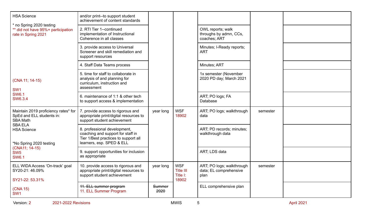| <b>HSA Science</b>                                                                    | and/or print--to support student<br>achievement of content standards                                                                   |                |                                                     |                                                             |          |  |
|---------------------------------------------------------------------------------------|----------------------------------------------------------------------------------------------------------------------------------------|----------------|-----------------------------------------------------|-------------------------------------------------------------|----------|--|
| * no Spring 2020 testing<br>** did not have 95%+ participation<br>rate in Spring 2021 | 2. RTI Tier 1--continued<br>implementation of Instructional<br>Coherence in all classes                                                |                |                                                     | OWL reports; walk<br>throughs by admn, CCs,<br>coaches; ART |          |  |
|                                                                                       | 3. provide access to Universal<br>Screener and skill remediation and<br>support resources                                              |                |                                                     | Minutes; I-Ready reports;<br><b>ART</b>                     |          |  |
|                                                                                       | 4. Staff Data Teams process                                                                                                            |                |                                                     | Minutes; ART                                                |          |  |
| (CNA 11; 14-15)<br>SW <sub>1</sub>                                                    | 5. time for staff to collaborate in<br>analysis of and planning for<br>curriculum, instruction and<br>assessment                       |                |                                                     | 1x semester (November<br>2020 PD day; March 2021            |          |  |
| <b>SW6.1</b><br>SW6.3.4                                                               | 6. maintenance of 1:1 & other tech<br>to support access & implementation                                                               |                |                                                     | ART; PO logs; FA<br>Database                                |          |  |
| Maintain 2019 proficiency rates* for<br>SpEd and ELL students in:<br><b>SBA Math</b>  | 7. provide access to rigorous and<br>appropriate print/digital resources to<br>support student achievement                             | year long      | <b>WSF</b><br>18902                                 | ART; PO logs; walkthrough<br>data                           | semester |  |
| <b>SBA ELA</b><br><b>HSA Science</b><br>*No Spring 2020 testing                       | 8. professional development,<br>coaching and support for staff in<br>Tier 1/Best practices to support all<br>learners, esp. SPED & ELL |                |                                                     | ART; PD records; minutes;<br>walkthrough data               |          |  |
| (CNA11; 14-15)<br>SW <sub>5</sub><br><b>SW6.1</b>                                     | 9. support opportunities for inclusion<br>as appropriate                                                                               |                |                                                     | ART; LDS data                                               |          |  |
| ELL WIDA Access 'On-track' goal<br>SY20-21: 46.09%<br>SY21-22: 53.31%                 | 10. provide access to rigorous and<br>appropriate print/digital resources to<br>support student achievement                            | year long      | <b>WSF</b><br><b>Title III</b><br>Title I:<br>18902 | ART; PO logs; walkthrough<br>data; EL comprehensive<br>plan | semester |  |
| (CNA 15)<br>SW <sub>1</sub>                                                           | 11. ELL summer program<br>11. ELL Summer Program                                                                                       | Summer<br>2020 |                                                     | ELL comprehensive plan                                      |          |  |

Version: 2 2021-2022 Revisions 2001-2022 Revisions 2021 NWIS 5 April 2021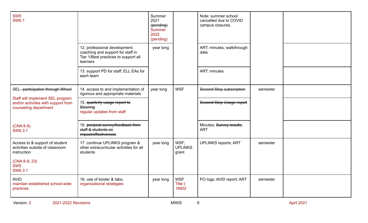| SW <sub>5</sub><br><b>SW6.1</b>                                                                  | 12. professional development,<br>coaching and support for staff in<br>Tier 1/Best practices to support all<br>learners | Summer<br>2021<br>(pending)<br><b>Summer</b><br>2022<br>(pending)<br>year long |                                 | Note: summer school<br>cancelled due to COVID<br>campus closures.<br>ART; minutes; walkthrough<br>data |          |  |
|--------------------------------------------------------------------------------------------------|------------------------------------------------------------------------------------------------------------------------|--------------------------------------------------------------------------------|---------------------------------|--------------------------------------------------------------------------------------------------------|----------|--|
|                                                                                                  | 13. support PD for staff; ELL EAs for<br>each team                                                                     |                                                                                |                                 | ART; minutes                                                                                           |          |  |
| SEL--participation through Wheel                                                                 | 14. access to and implementation of<br>rigorous and appropriate materials                                              | year long                                                                      | <b>WSF</b>                      | Second Step subscription                                                                               | semester |  |
| Staff will implement SEL program<br>and/or activities with support from<br>counseling department | 15. quarterly usage report to<br>Steering<br>regular updates from staff                                                |                                                                                |                                 | Second Step Usage report                                                                               |          |  |
| $(CNA 8-9)$<br>SW6.3.1                                                                           | 16. pre/post survey/feedback from<br>staff & students on<br>impact/effectiveness                                       |                                                                                |                                 | Minutes; Survey results;<br><b>ART</b>                                                                 |          |  |
| Access to & support of student<br>activities outside of classroom<br>instruction                 | 17. continue UPLINKS program &<br>other extracurricular activities for all<br>students                                 | year long                                                                      | WSF;<br><b>UPLINKS</b><br>grant | <b>UPLINKS reports; ART</b>                                                                            | semester |  |
| (CNA 8-9; 23)<br>SW <sub>5</sub><br>SW6.3.1                                                      |                                                                                                                        |                                                                                |                                 |                                                                                                        |          |  |
| <b>AVID</b><br>maintain established school-wide<br>practices                                     | 18. use of binder & tabs;<br>organizational strategies                                                                 | year long                                                                      | <b>WSF</b><br>Title I:<br>18902 | PO logs; AVID report; ART                                                                              | semester |  |

Version: 2 2021-2022 Revisions 2001-2022 Revisions 2021 NWIS 6 April 2021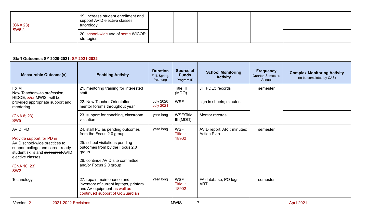| (CNA 23)<br><b>SW6.2</b> | 19. increase student enrollment and<br>support AVID elective classes;<br>tutorology |  |  |  |
|--------------------------|-------------------------------------------------------------------------------------|--|--|--|
|                          | 20. school-wide use of some WICOR  <br>strategies                                   |  |  |  |

## **Staff Outcomes SY 2020-2021; SY 2021-2022**

| <b>Measurable Outcome(s)</b>                                                                                                         | <b>Enabling Activity</b>                                                                                                                | <b>Duration</b><br>Fall, Spring,<br>Yearlong | <b>Source of</b><br><b>Funds</b><br>Program ID | <b>School Monitoring</b><br><b>Activity</b>      | <b>Frequency</b><br>Quarter, Semester,<br>Annual | <b>Complex Monitoring Activity</b><br>(to be completed by CAS) |
|--------------------------------------------------------------------------------------------------------------------------------------|-----------------------------------------------------------------------------------------------------------------------------------------|----------------------------------------------|------------------------------------------------|--------------------------------------------------|--------------------------------------------------|----------------------------------------------------------------|
| 1 & M<br>New Teachers--to profession,                                                                                                | 21. mentoring training for interested<br>staff                                                                                          |                                              | Title III<br>(MDO)                             | JF, PDE3 records                                 | semester                                         |                                                                |
| HIDOE, &/or MWIS--will be<br>provided appropriate support and<br>mentoring                                                           | 22. New Teacher Orientation;<br>mentor forums throughout year                                                                           | <b>July 2020</b><br><b>July 2021</b>         | <b>WSF</b>                                     | sign in sheets; minutes                          |                                                  |                                                                |
| (CNA 6; 23)<br>SW <sub>5</sub>                                                                                                       | 23. support for coaching, classroom<br>visitation                                                                                       | year long                                    | <b>WSF/Title</b><br>III (MDO)                  | Mentor records                                   |                                                  |                                                                |
| AVID PD                                                                                                                              | 24. staff PD as pending outcomes<br>from the Focus 2.0 group                                                                            | year long                                    | <b>WSF</b><br>Title I:                         | AVID report; ART; minutes;<br><b>Action Plan</b> | semester                                         |                                                                |
| Provide support for PD in<br>AVID school-wide practices to<br>support college and career ready<br>student skills and support of AVID | 25. school visitations pending<br>outcomes from by the Focus 2.0<br>group                                                               | 18902                                        |                                                |                                                  |                                                  |                                                                |
| elective classes<br>(CNA 10; 23)<br>SW <sub>2</sub>                                                                                  | 26. continue AVID site committee<br>and/or Focus 2.0 group                                                                              |                                              |                                                |                                                  |                                                  |                                                                |
| Technology                                                                                                                           | 27. repair, maintenance and<br>inventory of current laptops, printers<br>and AV equipment as well as<br>continued support of GoGuardian | year long                                    | <b>WSF</b><br>Title I:<br>18902                | FA database; PO logs;<br><b>ART</b>              | semester                                         |                                                                |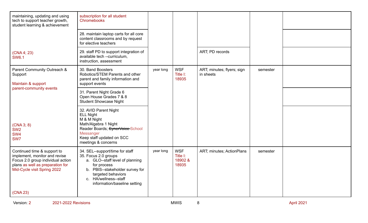| maintaining, updating and using<br>tech to support teacher growth,<br>student learning & achievement                                                                 | subscription for all student<br>Chromebooks                                                                                                                                                                                 |           |                                            |                                         |          |  |
|----------------------------------------------------------------------------------------------------------------------------------------------------------------------|-----------------------------------------------------------------------------------------------------------------------------------------------------------------------------------------------------------------------------|-----------|--------------------------------------------|-----------------------------------------|----------|--|
|                                                                                                                                                                      | 28. maintain laptop carts for all core<br>content classrooms and by request<br>for elective teachers                                                                                                                        |           |                                            |                                         |          |  |
| (CNA 4; 23)<br><b>SW6.1</b>                                                                                                                                          | 29. staff PD to support integration of<br>available tech --curriculum,<br>instruction, assessment                                                                                                                           |           |                                            | ART; PD records                         |          |  |
| Parent Community Outreach &<br>Support<br>Maintain & support                                                                                                         | 30. Band Boosters<br>Robotics/STEM Parents and other<br>parent and family information and<br>support events                                                                                                                 | year long | <b>WSF</b><br>Title I:<br>18935            | ART; minutes; flyers; sign<br>in sheets | semester |  |
| parent-community events                                                                                                                                              | 31. Parent Night Grade 6<br>Open House Grades 7 & 8<br><b>Student Showcase Night</b>                                                                                                                                        |           |                                            |                                         |          |  |
| (CNA 3; 8)<br>SW <sub>2</sub><br>SW <sub>4</sub><br>SW7                                                                                                              | 32. AVID Parent Night<br><b>ELL Night</b><br>M & M Night<br>Math/Algebra 1 Night<br>Reader Boards; SynerVoice-School<br>Messanger<br>Keep staff updated on SCC<br>meetings & concerns                                       |           |                                            |                                         |          |  |
| Continued time & support to<br>implement, monitor and revise<br>Focus 2.0 group individual action<br>plans as well as preparation for<br>Mid-Cycle visit Spring 2022 | 34. SEL--support/time for staff<br>35. Focus 2.0 groups<br>a. GLO--staff level of planning<br>for process<br>b. PBIS--stakeholder survey for<br>targeted behaviors<br>c. HA/wellness--staff<br>information/baseline setting | year long | <b>WSF</b><br>Title I:<br>18902 &<br>18935 | ART; minutes; ActionPlans               | semester |  |
| (CNA 23)                                                                                                                                                             |                                                                                                                                                                                                                             |           |                                            |                                         |          |  |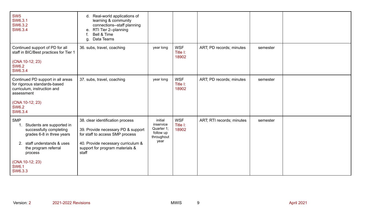| SW <sub>5</sub><br>SW6.3.1<br>SW6.3.2<br>SW6.3.4                                                                                                                                                                      | d. Real-world applications of<br>learning & community<br>connections--staff planning<br>e. RTI Tier 2--planning<br>Bell & Time<br>Data Teams<br>g.                                          |                                                                       |                                 |                           |          |  |
|-----------------------------------------------------------------------------------------------------------------------------------------------------------------------------------------------------------------------|---------------------------------------------------------------------------------------------------------------------------------------------------------------------------------------------|-----------------------------------------------------------------------|---------------------------------|---------------------------|----------|--|
| Continued support of PD for all<br>staff in BIC/Best practices for Tier 1<br>(CNA 10-12; 23)<br><b>SW6.2</b><br>SW6.3.4                                                                                               | 36. subs, travel, coaching                                                                                                                                                                  | year long                                                             | <b>WSF</b><br>Title I:<br>18902 | ART; PD records; minutes  | semester |  |
| Continued PD support in all areas<br>for rigorous standards-based<br>curriculum, instruction and<br>assessment<br>(CNA 10-12; 23)<br><b>SW6.2</b><br>SW6.3.4                                                          | 37. subs, travel, coaching                                                                                                                                                                  | year long                                                             | <b>WSF</b><br>Title I:<br>18902 | ART; PD records; minutes  | semester |  |
| <b>SMP</b><br>Students are supported in<br>1.<br>successfully completing<br>grades 6-8 in three years<br>2. staff understands & uses<br>the program referral<br>process<br>(CNA 10-12; 23)<br><b>SW6.1</b><br>SW6.3.3 | 38. clear identification process<br>39. Provide necessary PD & support<br>for staff to access SMP process<br>40. Provide necessary curriculum &<br>support for program materials &<br>staff | initial<br>inservice<br>Quarter 1;<br>follow up<br>throughout<br>year | <b>WSF</b><br>Title I:<br>18902 | ART; RTI records; minutes | semester |  |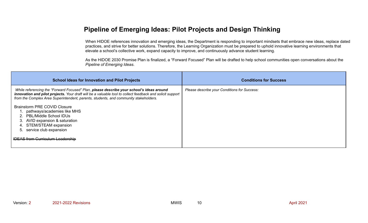# **Pipeline of Emerging Ideas: Pilot Projects and Design Thinking**

When HIDOE references innovation and emerging ideas, the Department is responding to important mindsets that embrace new ideas, replace dated practices, and strive for better solutions. Therefore, the Learning Organization must be prepared to uphold innovative learning environments that elevate a school's collective work, expand capacity to improve, and continuously advance student learning.

As the HIDOE 2030 Promise Plan is finalized, a "Forward Focused" Plan will be drafted to help school communities open conversations about the *Pipeline of Emerging Ideas*.

| <b>School Ideas for Innovation and Pilot Projects</b>                                                                                                                                                                                                                                         | <b>Conditions for Success</b>                |
|-----------------------------------------------------------------------------------------------------------------------------------------------------------------------------------------------------------------------------------------------------------------------------------------------|----------------------------------------------|
| While referencing the "Forward Focused" Plan, please describe your school's ideas around<br>innovation and pilot projects. Your draft will be a valuable tool to collect feedback and solicit support<br>from the Complex Area Superintendent, parents, students, and community stakeholders. | Please describe your Conditions for Success: |
| <b>Brainstorm PRE COVID Closure</b><br>1. pathways/academies like MHS<br>2. PBL/Middle School IDUs<br>3. AVID expansion & saturation<br>4. STEM/STEAM expansion<br>5. service club expansion                                                                                                  |                                              |
| <b>IDEAS from Curriculum Leadership</b>                                                                                                                                                                                                                                                       |                                              |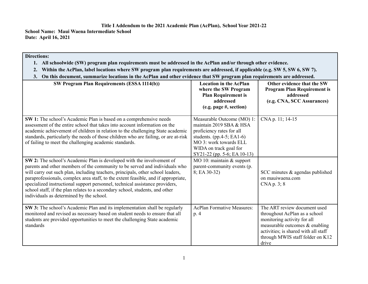## **Title I Addendum to the 2021 Academic Plan (AcPlan), School Year 2021-22**

**School Name: Maui Waena Intermediate School Date: April 16, 2021**

## **Directions:**

- 1. All schoolwide (SW) program plan requirements must be addressed in the AcPlan and/or through other evidence.
- 2. Within the AcPlan, label locations where SW program plan requirements are addressed, if applicable (e.g. SW 5, SW 6, SW 7).
- 3. On this document, summarize locations in the AcPlan and other evidence that SW program plan requirements are addressed.

| <b>SW Program Plan Requirements (ESSA 1114(b))</b>                                                                                                                                                                                                                                                                                                                                                                                                                                                                                        | <b>Location in the AcPlan</b><br>where the SW Program<br><b>Plan Requirement is</b><br>addressed<br>(e.g. page #, section)                                                                          | Other evidence that the SW<br><b>Program Plan Requirement is</b><br>addressed<br>(e.g. CNA, SCC Assurances)                                                                                                         |
|-------------------------------------------------------------------------------------------------------------------------------------------------------------------------------------------------------------------------------------------------------------------------------------------------------------------------------------------------------------------------------------------------------------------------------------------------------------------------------------------------------------------------------------------|-----------------------------------------------------------------------------------------------------------------------------------------------------------------------------------------------------|---------------------------------------------------------------------------------------------------------------------------------------------------------------------------------------------------------------------|
| SW 1: The school's Academic Plan is based on a comprehensive needs<br>assessment of the entire school that takes into account information on the<br>academic achievement of children in relation to the challenging State academic<br>standards, particularly the needs of those children who are failing, or are at-risk<br>of failing to meet the challenging academic standards.                                                                                                                                                       | Measurable Outcome (MO) 1:<br>maintain 2019 SBA & HSA<br>proficiency rates for all<br>students. (pp. 4-5; EA1-6)<br>MO 3: work towards ELL<br>WIDA on track goal for<br>SY21-22 (pp. 5-6; EA 10-13) | CNA p. 11; 14-15                                                                                                                                                                                                    |
| SW 2: The school's Academic Plan is developed with the involvement of<br>parents and other members of the community to be served and individuals who<br>will carry out such plan, including teachers, principals, other school leaders,<br>paraprofessionals, complex area staff, to the extent feasible, and if appropriate,<br>specialized instructional support personnel, technical assistance providers,<br>school staff, if the plan relates to a secondary school, students, and other<br>individuals as determined by the school. | MO 10: maintain $&$ support<br>parent-community events (p.<br>$8; EA 30-32)$                                                                                                                        | SCC minutes & agendas published<br>on mauiwaena.com<br>CNA p. 3; 8                                                                                                                                                  |
| SW 3: The school's Academic Plan and its implementation shall be regularly<br>monitored and revised as necessary based on student needs to ensure that all<br>students are provided opportunities to meet the challenging State academic<br>standards                                                                                                                                                                                                                                                                                     | <b>AcPlan Formative Measures:</b><br>p. 4                                                                                                                                                           | The ART review document used<br>throughout AcPlan as a school<br>monitoring activity for all<br>measurable outcomes & enabling<br>activities; is shared with all staff<br>through MWIS staff folder on K12<br>drive |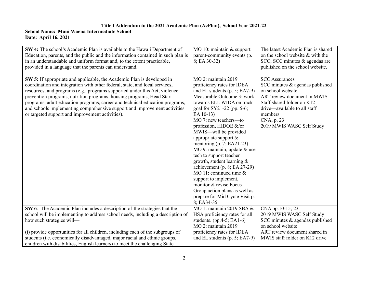## **Title I Addendum to the 2021 Academic Plan (AcPlan), School Year 2021-22**

## **School Name: Maui Waena Intermediate School Date: April 16, 2021**

| SW 4: The school's Academic Plan is available to the Hawaii Department of<br>Education, parents, and the public and the information contained in such plan is<br>in an understandable and uniform format and, to the extent practicable,<br>provided in a language that the parents can understand.                                                                                                                                                                                                                           | $MO 10$ : maintain & support<br>parent-community events (p.<br>$8; EA 30-32)$                                                                                                                                                                                                                                                                                                                                                                                                                                                                                                                                                        | The latest Academic Plan is shared<br>on the school website & with the<br>SCC; SCC minutes & agendas are<br>published on the school website.                                                                                        |
|-------------------------------------------------------------------------------------------------------------------------------------------------------------------------------------------------------------------------------------------------------------------------------------------------------------------------------------------------------------------------------------------------------------------------------------------------------------------------------------------------------------------------------|--------------------------------------------------------------------------------------------------------------------------------------------------------------------------------------------------------------------------------------------------------------------------------------------------------------------------------------------------------------------------------------------------------------------------------------------------------------------------------------------------------------------------------------------------------------------------------------------------------------------------------------|-------------------------------------------------------------------------------------------------------------------------------------------------------------------------------------------------------------------------------------|
| SW 5: If appropriate and applicable, the Academic Plan is developed in<br>coordination and integration with other federal, state, and local services,<br>resources, and programs (e.g., programs supported under this Act, violence<br>prevention programs, nutrition programs, housing programs, Head Start<br>programs, adult education programs, career and technical education programs,<br>and schools implementing comprehensive support and improvement activities<br>or targeted support and improvement activities). | MO 2: maintain 2019<br>proficiency rates for IDEA<br>and EL students $(p. 5; EA7-9)$<br>Measurable Outcome 3: work<br>towards ELL WIDA on track<br>goal for SY21-22 (pp. 5-6;<br>EA 10-13)<br>MO 7: new teachers--- to<br>profession, HIDOE &/or<br>MWIS-will be provided<br>appropriate support $\&$<br>mentoring $(p. 7; EA21-23)$<br>MO 9: maintain, update $&$ use<br>tech to support teacher<br>growth, student learning &<br>achievement (p. 8; EA $27-29$ )<br>MO 11: continued time $\&$<br>support to implement,<br>monitor & revise Focus<br>Group action plans as well as<br>prepare for Mid Cycle Visit p.<br>8: EA34-35 | <b>SCC</b> Assurances<br>SCC minutes $\&$ agendas published<br>on school website<br>ART review document in MWIS<br>Staff shared folder on K12<br>drive—available to all staff<br>members<br>CNA, p. 23<br>2019 MWIS WASC Self Study |
| SW 6: The Academic Plan includes a description of the strategies that the<br>school will be implementing to address school needs, including a description of<br>how such strategies will-<br>(i) provide opportunities for all children, including each of the subgroups of<br>students (i.e. economically disadvantaged, major racial and ethnic groups,                                                                                                                                                                     | MO 1: maintain 2019 SBA &<br>HSA proficiency rates for all<br>students. (pp. 4-5; EA1-6)<br><b>MO 2: maintain 2019</b><br>proficiency rates for IDEA<br>and EL students $(p. 5; EA7-9)$                                                                                                                                                                                                                                                                                                                                                                                                                                              | CNA pp.10-15; 23<br>2019 MWIS WASC Self Study<br>SCC minutes & agendas published<br>on school website<br>ART review document shared in<br>MWIS staff folder on K12 drive                                                            |
| children with disabilities, English learners) to meet the challenging State                                                                                                                                                                                                                                                                                                                                                                                                                                                   |                                                                                                                                                                                                                                                                                                                                                                                                                                                                                                                                                                                                                                      |                                                                                                                                                                                                                                     |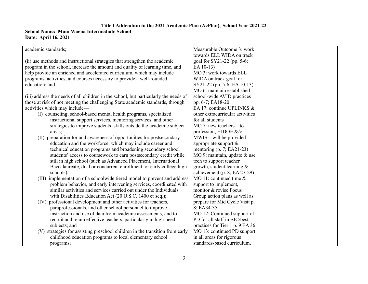### **Title I Addendum to the 2021 Academic Plan (AcPlan), School Year 2021-22 School Name: Maui Waena Intermediate School Date: April 16, 2021**

| academic standards;                                                                  | Measurable Outcome 3: work       |  |
|--------------------------------------------------------------------------------------|----------------------------------|--|
|                                                                                      | towards ELL WIDA on track        |  |
| (ii) use methods and instructional strategies that strengthen the academic           | goal for SY21-22 (pp. 5-6;       |  |
| program in the school, increase the amount and quality of learning time, and         | EA 10-13)                        |  |
| help provide an enriched and accelerated curriculum, which may include               | MO 3: work towards ELL           |  |
| programs, activities, and courses necessary to provide a well-rounded                | WIDA on track goal for           |  |
| education; and                                                                       | SY21-22 (pp. 5-6; EA 10-13)      |  |
|                                                                                      | MO 6: maintain established       |  |
| (iii) address the needs of all children in the school, but particularly the needs of | school-wide AVID practices       |  |
| those at risk of not meeting the challenging State academic standards, through       | pp. 6-7; EA18-20                 |  |
| activities which may include—                                                        | EA 17: continue UPLINKS &        |  |
| (I) counseling, school-based mental health programs, specialized                     | other extracurricular activities |  |
| instructional support services, mentoring services, and other                        | for all students                 |  |
| strategies to improve students' skills outside the academic subject                  | MO 7: new teachers-to            |  |
| areas;                                                                               | profession, HIDOE &/or           |  |
| (II) preparation for and awareness of opportunities for postsecondary                | MWIS—will be provided            |  |
| education and the workforce, which may include career and                            | appropriate support $\&$         |  |
| technical education programs and broadening secondary school                         | mentoring $(p. 7; EA21-23)$      |  |
| students' access to coursework to earn postsecondary credit while                    | MO 9: maintain, update & use     |  |
| still in high school (such as Advanced Placement, International                      | tech to support teacher          |  |
| Baccalaureate, dual or concurrent enrollment, or early college high                  | growth, student learning $\&$    |  |
| schools);                                                                            | achievement (p. 8; EA 27-29)     |  |
| (III) implementation of a schoolwide tiered model to prevent and address             | MO 11: continued time $\&$       |  |
| problem behavior, and early intervening services, coordinated with                   | support to implement,            |  |
| similar activities and services carried out under the Individuals                    | monitor & revise Focus           |  |
| with Disabilities Education Act (20 U.S.C. 1400 et seq.);                            | Group action plans as well as    |  |
| professional development and other activities for teachers,<br>(IV)                  | prepare for Mid Cycle Visit p.   |  |
| paraprofessionals, and other school personnel to improve                             | 8; EA34-35                       |  |
| instruction and use of data from academic assessments, and to                        | MO 12: Continued support of      |  |
| recruit and retain effective teachers, particularly in high-need                     | PD for all staff in BIC/best     |  |
| subjects; and                                                                        | practices for Tier 1 p. 9 EA 36  |  |
| (V) strategies for assisting preschool children in the transition from early         | MO 13: continued PD support      |  |
| childhood education programs to local elementary school                              | in all areas for rigorous        |  |
| programs;                                                                            | standards-based curriculum,      |  |